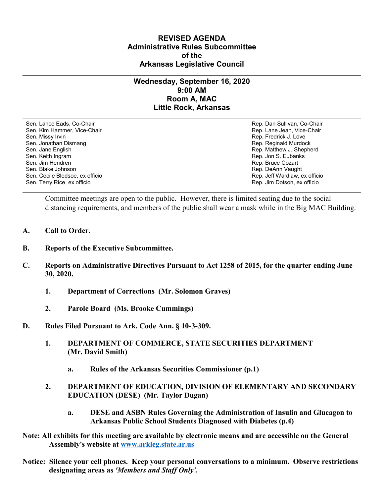## **REVISED AGENDA Administrative Rules Subcommittee of the Arkansas Legislative Council**

## **Wednesday, September 16, 2020 9:00 AM Room A, MAC Little Rock, Arkansas**

Sen. Lance Eads, Co-Chair Rep. Dan Sullivan, Co-Chair Sen. Kim Hammer, Vice-Chair **Rep. Lane Jean, Vice-Chair** Rep. Lane Jean, Vice-Chair Sen. Missy Irvin New York 1, 2008 and the sense of the sense of the Sense of Technical Sense of Technical Australian Sense of Technical Australian Sense of Technical Australian Sense of Technical Australian Sense of Techni Sen. Jonathan Dismang Rep. Reginald Murdock Sen. Jane English Rep. Matthew J. Shepherd Rep. Matthew J. Shepherd Sen. Keith Ingram Rep. Jon S. Eubanks (Sen. Keith Ingram Rep. Jon S. Eubanks (Sen. Jon S. Eubanks (Sen. Jon S. Eubanks (Sen. Jon S. Eubanks (Sen. Jon S. Eubanks (Sen. Jon S. Eubanks (Sen. Jon S. Eubanks (Sen. Jon S. Eubank Sen. Blake Johnson (Sen. 1999)<br>Sen. Cecile Bledsoe, ex officio (Sen. 1999)<br>Sen. Cecile Bledsoe, ex officio (Sen. 1999) Sen. Cecile Bledsoe, ex officio Sen. Terry Rice, ex officio Rep. Jim Dotson, ex officio

Rep. Bruce Cozart

Committee meetings are open to the public. However, there is limited seating due to the social distancing requirements, and members of the public shall wear a mask while in the Big MAC Building.

- **A. Call to Order.**
- **B. Reports of the Executive Subcommittee.**
- **C. Reports on Administrative Directives Pursuant to Act 1258 of 2015, for the quarter ending June 30, 2020.**
	- **1. Department of Corrections (Mr. Solomon Graves)**
	- **2. Parole Board (Ms. Brooke Cummings)**
- **D. Rules Filed Pursuant to Ark. Code Ann. § 10-3-309.**
	- **1. DEPARTMENT OF COMMERCE, STATE SECURITIES DEPARTMENT (Mr. David Smith)**
		- **a. Rules of the Arkansas Securities Commissioner (p.1)**
	- **2. DEPARTMENT OF EDUCATION, DIVISION OF ELEMENTARY AND SECONDARY EDUCATION (DESE) (Mr. Taylor Dugan)**
		- **a. DESE and ASBN Rules Governing the Administration of Insulin and Glucagon to Arkansas Public School Students Diagnosed with Diabetes (p.4)**
- **Note: All exhibits for this meeting are available by electronic means and are accessible on the General Assembly's website at [www.arkleg.state.ar.us](http://www.arkleg.state.ar.us)**
- **Notice: Silence your cell phones. Keep your personal conversations to a minimum. Observe restrictions designating areas as** *'Members and Staff Only'.*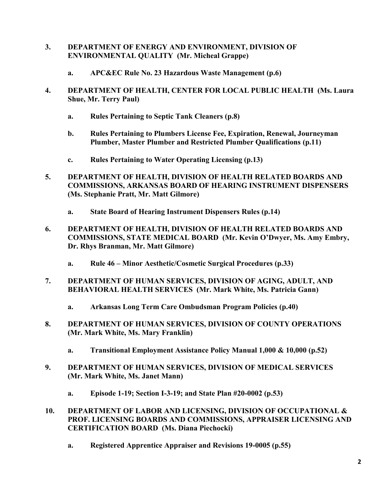- **3. DEPARTMENT OF ENERGY AND ENVIRONMENT, DIVISION OF ENVIRONMENTAL QUALITY (Mr. Micheal Grappe)**
	- **a. APC&EC Rule No. 23 Hazardous Waste Management (p.6)**
- **4. DEPARTMENT OF HEALTH, CENTER FOR LOCAL PUBLIC HEALTH (Ms. Laura Shue, Mr. Terry Paul)**
	- **a. Rules Pertaining to Septic Tank Cleaners (p.8)**
	- **b. Rules Pertaining to Plumbers License Fee, Expiration, Renewal, Journeyman Plumber, Master Plumber and Restricted Plumber Qualifications (p.11)**
	- **c. Rules Pertaining to Water Operating Licensing (p.13)**
- **5. DEPARTMENT OF HEALTH, DIVISION OF HEALTH RELATED BOARDS AND COMMISSIONS, ARKANSAS BOARD OF HEARING INSTRUMENT DISPENSERS (Ms. Stephanie Pratt, Mr. Matt Gilmore)**
	- **a. State Board of Hearing Instrument Dispensers Rules (p.14)**
- **6. DEPARTMENT OF HEALTH, DIVISION OF HEALTH RELATED BOARDS AND COMMISSIONS, STATE MEDICAL BOARD (Mr. Kevin O'Dwyer, Ms. Amy Embry, Dr. Rhys Branman, Mr. Matt Gilmore)**
	- **a. Rule 46 – Minor Aesthetic/Cosmetic Surgical Procedures (p.33)**
- **7. DEPARTMENT OF HUMAN SERVICES, DIVISION OF AGING, ADULT, AND BEHAVIORAL HEALTH SERVICES (Mr. Mark White, Ms. Patricia Gann)**
	- **a. Arkansas Long Term Care Ombudsman Program Policies (p.40)**
- **8. DEPARTMENT OF HUMAN SERVICES, DIVISION OF COUNTY OPERATIONS (Mr. Mark White, Ms. Mary Franklin)**
	- **a. Transitional Employment Assistance Policy Manual 1,000 & 10,000 (p.52)**
- **9. DEPARTMENT OF HUMAN SERVICES, DIVISION OF MEDICAL SERVICES (Mr. Mark White, Ms. Janet Mann)**
	- **a. Episode 1-19; Section I-3-19; and State Plan #20-0002 (p.53)**
- **10. DEPARTMENT OF LABOR AND LICENSING, DIVISION OF OCCUPATIONAL & PROF. LICENSING BOARDS AND COMMISSIONS, APPRAISER LICENSING AND CERTIFICATION BOARD (Ms. Diana Piechocki)**
	- **a. Registered Apprentice Appraiser and Revisions 19-0005 (p.55)**